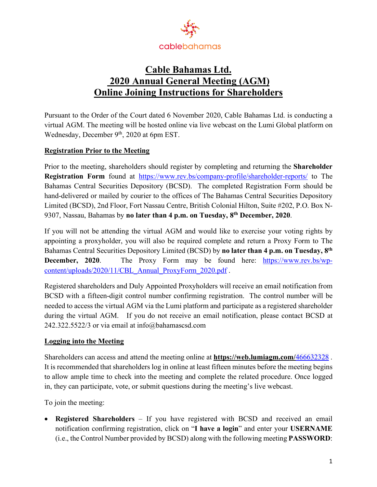

# **Cable Bahamas Ltd. 2020 Annual General Meeting (AGM) Online Joining Instructions for Shareholders**

Pursuant to the Order of the Court dated 6 November 2020, Cable Bahamas Ltd. is conducting a virtual AGM. The meeting will be hosted online via live webcast on the Lumi Global platform on Wednesday, December 9<sup>th</sup>, 2020 at 6pm EST.

## **Registration Prior to the Meeting**

Prior to the meeting, shareholders should register by completing and returning the **Shareholder Registration Form** found at https://www.rev.bs/company-profile/shareholder-reports/ to The Bahamas Central Securities Depository (BCSD). The completed Registration Form should be hand-delivered or mailed by courier to the offices of The Bahamas Central Securities Depository Limited (BCSD), 2nd Floor, Fort Nassau Centre, British Colonial Hilton, Suite #202, P.O. Box N-9307, Nassau, Bahamas by **no later than 4 p.m. on Tuesday, 8th December, 2020**.

If you will not be attending the virtual AGM and would like to exercise your voting rights by appointing a proxyholder, you will also be required complete and return a Proxy Form to The Bahamas Central Securities Depository Limited (BCSD) by **no later than 4 p.m. on Tuesday, 8th December, 2020**. The Proxy Form may be found here: https://www.rev.bs/wpcontent/uploads/2020/11/CBL\_Annual\_ProxyForm\_2020.pdf .

Registered shareholders and Duly Appointed Proxyholders will receive an email notification from BCSD with a fifteen-digit control number confirming registration. The control number will be needed to access the virtual AGM via the Lumi platform and participate as a registered shareholder during the virtual AGM. If you do not receive an email notification, please contact BCSD at 242.322.5522/3 or via email at info@bahamascsd.com

## **Logging into the Meeting**

Shareholders can access and attend the meeting online at **https://web.lumiagm.com/**466632328 . It is recommended that shareholders log in online at least fifteen minutes before the meeting begins to allow ample time to check into the meeting and complete the related procedure. Once logged in, they can participate, vote, or submit questions during the meeting's live webcast.

To join the meeting:

• **Registered Shareholders** – If you have registered with BCSD and received an email notification confirming registration, click on "**I have a login**" and enter your **USERNAME** (i.e., the Control Number provided by BCSD) along with the following meeting **PASSWORD**: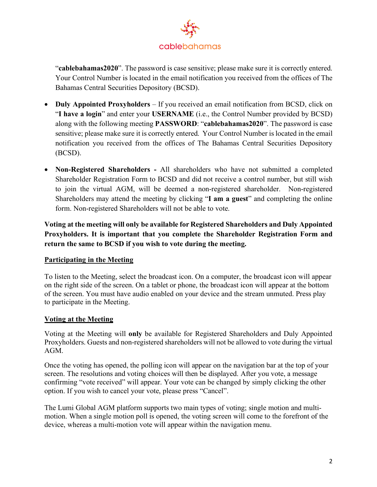

"**cablebahamas2020**". The password is case sensitive; please make sure it is correctly entered. Your Control Number is located in the email notification you received from the offices of The Bahamas Central Securities Depository (BCSD).

- **Duly Appointed Proxyholders** If you received an email notification from BCSD, click on "**I have a login**" and enter your **USERNAME** (i.e., the Control Number provided by BCSD) along with the following meeting **PASSWORD**: "**cablebahamas2020**". The password is case sensitive; please make sure it is correctly entered. Your Control Number is located in the email notification you received from the offices of The Bahamas Central Securities Depository (BCSD).
- **Non-Registered Shareholders -** All shareholders who have not submitted a completed Shareholder Registration Form to BCSD and did not receive a control number, but still wish to join the virtual AGM, will be deemed a non-registered shareholder. Non-registered Shareholders may attend the meeting by clicking "**I am a guest**" and completing the online form. Non-registered Shareholders will not be able to vote.

**Voting at the meeting will only be available for Registered Shareholders and Duly Appointed Proxyholders. It is important that you complete the Shareholder Registration Form and return the same to BCSD if you wish to vote during the meeting.**

## **Participating in the Meeting**

To listen to the Meeting, select the broadcast icon. On a computer, the broadcast icon will appear on the right side of the screen. On a tablet or phone, the broadcast icon will appear at the bottom of the screen. You must have audio enabled on your device and the stream unmuted. Press play to participate in the Meeting.

## **Voting at the Meeting**

Voting at the Meeting will **only** be available for Registered Shareholders and Duly Appointed Proxyholders. Guests and non-registered shareholders will not be allowed to vote during the virtual AGM.

Once the voting has opened, the polling icon will appear on the navigation bar at the top of your screen. The resolutions and voting choices will then be displayed. After you vote, a message confirming "vote received" will appear. Your vote can be changed by simply clicking the other option. If you wish to cancel your vote, please press "Cancel".

The Lumi Global AGM platform supports two main types of voting; single motion and multimotion. When a single motion poll is opened, the voting screen will come to the forefront of the device, whereas a multi-motion vote will appear within the navigation menu.